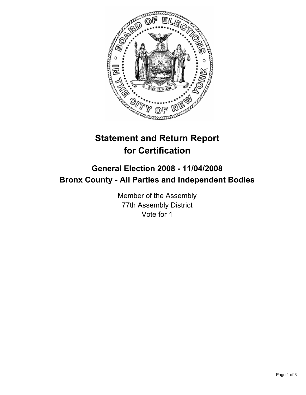

## **Statement and Return Report for Certification**

## **General Election 2008 - 11/04/2008 Bronx County - All Parties and Independent Bodies**

Member of the Assembly 77th Assembly District Vote for 1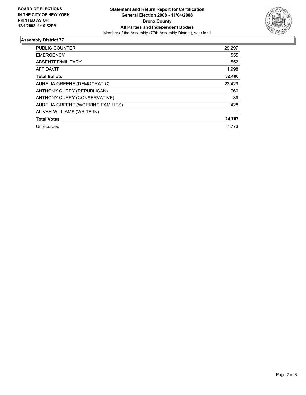

## **Assembly District 77**

| PUBLIC COUNTER                    | 29,297 |
|-----------------------------------|--------|
| <b>EMERGENCY</b>                  | 555    |
| ABSENTEE/MILITARY                 | 552    |
| <b>AFFIDAVIT</b>                  | 1,998  |
| <b>Total Ballots</b>              | 32,480 |
| AURELIA GREENE (DEMOCRATIC)       | 23,429 |
| ANTHONY CURRY (REPUBLICAN)        | 760    |
| ANTHONY CURRY (CONSERVATIVE)      | 89     |
| AURELIA GREENE (WORKING FAMILIES) | 428    |
| ALIVAH WILLIAMS (WRITE-IN)        |        |
| <b>Total Votes</b>                | 24,707 |
| Unrecorded                        | 7.773  |